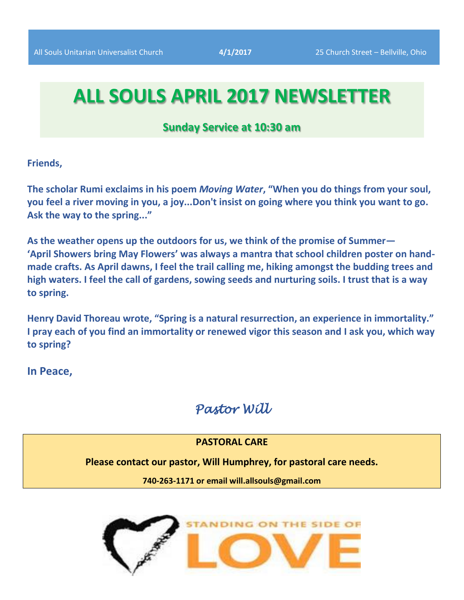# **ALL SOULS APRIL 2017 NEWSLETTER**

# **Sunday Service at 10:30 am**

**Friends,**

**The scholar Rumi exclaims in his poem** *Moving Water***, "When you do things from your soul, you feel a river moving in you, a joy...Don't insist on going where you think you want to go. Ask the way to the spring..."**

**As the weather opens up the outdoors for us, we think of the promise of Summer— 'April Showers bring May Flowers' was always a mantra that school children poster on handmade crafts. As April dawns, I feel the trail calling me, hiking amongst the budding trees and high waters. I feel the call of gardens, sowing seeds and nurturing soils. I trust that is a way to spring.** 

**Henry David Thoreau wrote, "Spring is a natural resurrection, an experience in immortality." I pray each of you find an immortality or renewed vigor this season and I ask you, which way to spring?** 

**In Peace,** 

# *Pastor Will*

## **PASTORAL CARE**

**Please contact our pastor, Will Humphrey, for pastoral care needs.**

**740-263-1171 or email will.allsouls@gmail.com**

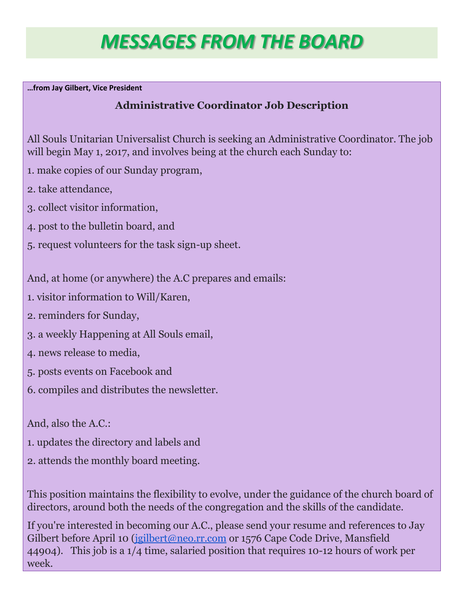# *MESSAGES FROM THE BOARD*

**…from Jay Gilbert, Vice President** 

# **Administrative Coordinator Job Description**

All Souls Unitarian Universalist Church is seeking an Administrative Coordinator. The job will begin May 1, 2017, and involves being at the church each Sunday to:

- 1. make copies of our Sunday program,
- 2. take attendance,
- 3. collect visitor information,
- 4. post to the bulletin board, and
- 5. request volunteers for the task sign-up sheet.

And, at home (or anywhere) the A.C prepares and emails:

- 1. visitor information to Will/Karen,
- 2. reminders for Sunday,
- 3. a weekly Happening at All Souls email,
- 4. news release to media,
- 5. posts events on Facebook and
- 6. compiles and distributes the newsletter.

And, also the A.C.:

- 1. updates the directory and labels and
- 2. attends the monthly board meeting.

This position maintains the flexibility to evolve, under the guidance of the church board of directors, around both the needs of the congregation and the skills of the candidate.

If you're interested in becoming our A.C., please send your resume and references to Jay Gilbert before April 10 [\(jgilbert@neo.rr.com](mailto:jgilbert@neo.rr.com) or 1576 Cape Code Drive, Mansfield 44904). This job is a 1/4 time, salaried position that requires 10-12 hours of work per week.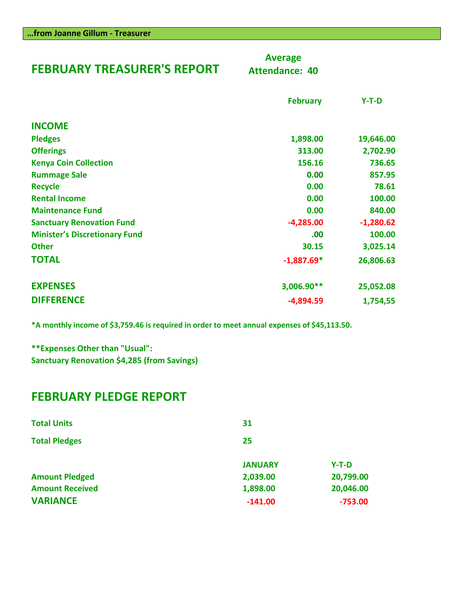| <b>FEBRUARY TREASURER'S REPORT</b>   | <b>Average</b><br><b>Attendance: 40</b> |             |
|--------------------------------------|-----------------------------------------|-------------|
|                                      | <b>February</b>                         | $Y-T-D$     |
| <b>INCOME</b>                        |                                         |             |
| <b>Pledges</b>                       | 1,898.00                                | 19,646.00   |
| <b>Offerings</b>                     | 313.00                                  | 2,702.90    |
| <b>Kenya Coin Collection</b>         | 156.16                                  | 736.65      |
| <b>Rummage Sale</b>                  | 0.00                                    | 857.95      |
| <b>Recycle</b>                       | 0.00                                    | 78.61       |
| <b>Rental Income</b>                 | 0.00                                    | 100.00      |
| <b>Maintenance Fund</b>              | 0.00                                    | 840.00      |
| <b>Sanctuary Renovation Fund</b>     | $-4,285.00$                             | $-1,280.62$ |
| <b>Minister's Discretionary Fund</b> | .00                                     | 100.00      |
| <b>Other</b>                         | 30.15                                   | 3,025.14    |
| <b>TOTAL</b>                         | $-1,887.69*$                            | 26,806.63   |
| <b>EXPENSES</b>                      | 3,006.90**                              | 25,052.08   |
| <b>DIFFERENCE</b>                    | $-4,894.59$                             | 1,754,55    |

**\*A monthly income of \$3,759.46 is required in order to meet annual expenses of \$45,113.50.**

**\*\*Expenses Other than "Usual": Sanctuary Renovation \$4,285 (from Savings)**

**…from Joanne Gillum - Treasurer**

# **FEBRUARY PLEDGE REPORT**

| <b>Total Units</b>     | 31             |           |
|------------------------|----------------|-----------|
| <b>Total Pledges</b>   | 25             |           |
|                        | <b>JANUARY</b> | $Y-T-D$   |
| <b>Amount Pledged</b>  | 2,039.00       | 20,799.00 |
| <b>Amount Received</b> | 1,898.00       | 20,046.00 |
| <b>VARIANCE</b>        | $-141.00$      | $-753.00$ |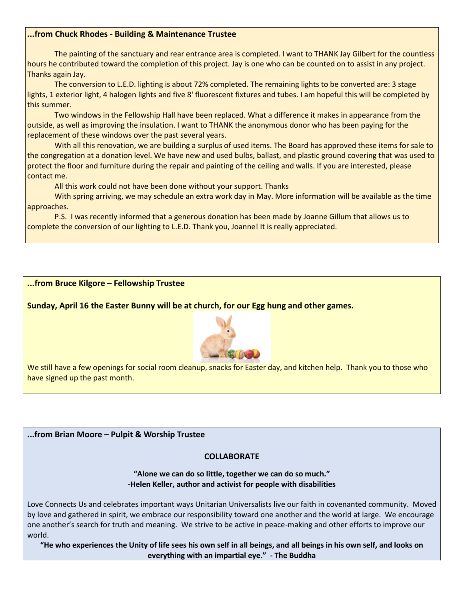#### **...from Chuck Rhodes - Building & Maintenance Trustee**

The painting of the sanctuary and rear entrance area is completed. I want to THANK Jay Gilbert for the countless hours he contributed toward the completion of this project. Jay is one who can be counted on to assist in any project. Thanks again Jay.

The conversion to L.E.D. lighting is about 72% completed. The remaining lights to be converted are: 3 stage lights, 1 exterior light, 4 halogen lights and five 8' fluorescent fixtures and tubes. I am hopeful this will be completed by this summer.

Two windows in the Fellowship Hall have been replaced. What a difference it makes in appearance from the outside, as well as improving the insulation. I want to THANK the anonymous donor who has been paying for the replacement of these windows over the past several years.

With all this renovation, we are building a surplus of used items. The Board has approved these items for sale to the congregation at a donation level. We have new and used bulbs, ballast, and plastic ground covering that was used to protect the floor and furniture during the repair and painting of the ceiling and walls. If you are interested, please contact me.

All this work could not have been done without your support. Thanks

With spring arriving, we may schedule an extra work day in May. More information will be available as the time approaches.

P.S. I was recently informed that a generous donation has been made by Joanne Gillum that allows us to complete the conversion of our lighting to L.E.D. Thank you, Joanne! It is really appreciated.

#### **...from Bruce Kilgore – Fellowship Trustee**

**Sunday, April 16 the Easter Bunny will be at church, for our Egg hung and other games.**



We still have a few openings for social room cleanup, snacks for Easter day, and kitchen help. Thank you to those who have signed up the past month.

**...from Brian Moore – Pulpit & Worship Trustee**

#### **COLLABORATE**

**"Alone we can do so little, together we can do so much." -Helen Keller, author and activist for people with disabilities**

Love Connects Us and celebrates important ways Unitarian Universalists live our faith in covenanted community. Moved by love and gathered in spirit, we embrace our responsibility toward one another and the world at large. We encourage one another's search for truth and meaning. We strive to be active in peace-making and other efforts to improve our world.

**"He who experiences the Unity of life sees his own self in all beings, and all beings in his own self, and looks on everything with an impartial eye." - The Buddha**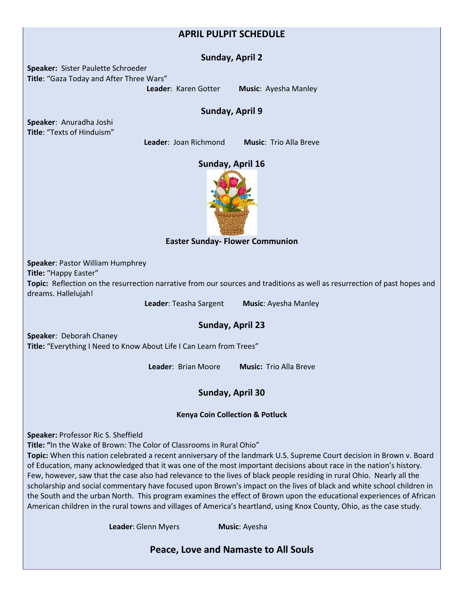### **APRIL PULPIT SCHEDULE**

#### **Sunday, April 2**

**Speaker:** Sister Paulette Schroeder **Title**: "Gaza Today and After Three Wars"

**Leader**: Karen Gotter **Music**: Ayesha Manley

#### **Sunday, April 9**

**Speaker**: Anuradha Joshi **Title**: "Texts of Hinduism"

**Leader**: Joan Richmond **Music**: Trio Alla Breve

#### **Sunday, April 16**



#### **Easter Sunday- Flower Communion**

**Speaker**: Pastor William Humphrey **Title:** "Happy Easter" **Topic:** Reflection on the resurrection narrative from our sources and traditions as well as resurrection of past hopes and dreams. Hallelujah!

**Leader**: Teasha Sargent **Music**: Ayesha Manley

## **Sunday, April 23**

**Speaker**: Deborah Chaney **Title:** "Everything I Need to Know About Life I Can Learn from Trees"

**Leader**: Brian Moore **Music:** Trio Alla Breve

### **Sunday, April 30**

#### **Kenya Coin Collection & Potluck**

**Speaker:** Professor Ric S. Sheffield

**Title: "**In the Wake of Brown: The Color of Classrooms in Rural Ohio"

**Topic:** When this nation celebrated a recent anniversary of the landmark U.S. Supreme Court decision in Brown v. Board of Education, many acknowledged that it was one of the most important decisions about race in the nation's history. Few, however, saw that the case also had relevance to the lives of black people residing in rural Ohio. Nearly all the scholarship and social commentary have focused upon Brown's impact on the lives of black and white school children in the South and the urban North. This program examines the effect of Brown upon the educational experiences of African American children in the rural towns and villages of America's heartland, using Knox County, Ohio, as the case study.

**Leader**: Glenn Myers **Music**: Ayesha

**Peace, Love and Namaste to All Souls**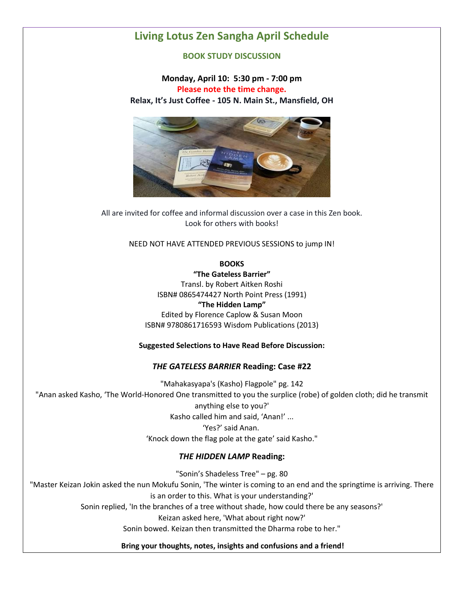# **Living Lotus Zen Sangha April Schedule**

#### **BOOK STUDY DISCUSSION**

**Monday, April 10: 5:30 pm - 7:00 pm Please note the time change. Relax, It's Just Coffee - 105 N. Main St., Mansfield, OH**



All are invited for coffee and informal discussion over a case in this Zen book. Look for others with books!

NEED NOT HAVE ATTENDED PREVIOUS SESSIONS to jump IN!

**BOOKS**

**"The Gateless Barrier"**

Transl. by Robert Aitken Roshi ISBN# 0865474427 North Point Press (1991) **"The Hidden Lamp"** Edited by Florence Caplow & Susan Moon ISBN# 9780861716593 Wisdom Publications (2013)

#### **Suggested Selections to Have Read Before Discussion:**

#### *THE GATELESS BARRIER* **Reading: Case #22**

"Mahakasyapa's (Kasho) Flagpole" pg. 142 "Anan asked Kasho, 'The World-Honored One transmitted to you the surplice (robe) of golden cloth; did he transmit anything else to you?' Kasho called him and said, 'Anan!' ... 'Yes?' said Anan. 'Knock down the flag pole at the gate' said Kasho."

#### *THE HIDDEN LAMP* **Reading:**

"Sonin's Shadeless Tree" – pg. 80 "Master Keizan Jokin asked the nun Mokufu Sonin, 'The winter is coming to an end and the springtime is arriving. There is an order to this. What is your understanding?' Sonin replied, 'In the branches of a tree without shade, how could there be any seasons?' Keizan asked here, 'What about right now?' Sonin bowed. Keizan then transmitted the Dharma robe to her."

#### **Bring your thoughts, notes, insights and confusions and a friend!**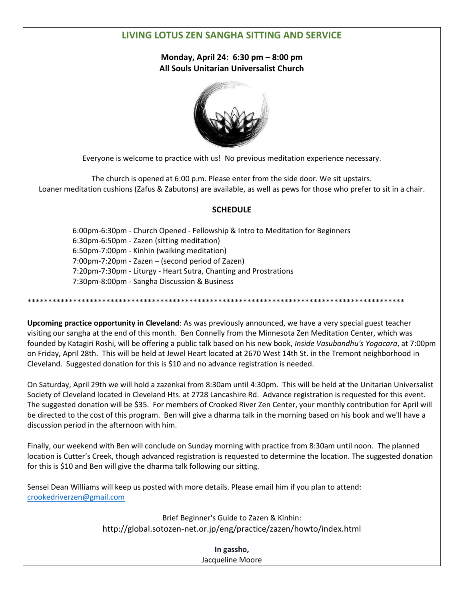## **LIVING LOTUS ZEN SANGHA SITTING AND SERVICE**

**Monday, April 24: 6:30 pm – 8:00 pm All Souls Unitarian Universalist Church**



Everyone is welcome to practice with us! No previous meditation experience necessary.

The church is opened at 6:00 p.m. Please enter from the side door. We sit upstairs. Loaner meditation cushions (Zafus & Zabutons) are available, as well as pews for those who prefer to sit in a chair.

#### **SCHEDULE**

 6:00pm-6:30pm - Church Opened - Fellowship & Intro to Meditation for Beginners 6:30pm-6:50pm - Zazen (sitting meditation) 6:50pm-7:00pm - Kinhin (walking meditation) 7:00pm-7:20pm - Zazen – (second period of Zazen) 7:20pm-7:30pm - Liturgy - Heart Sutra, Chanting and Prostrations 7:30pm-8:00pm - Sangha Discussion & Business

\*\*\*\*\*\*\*\*\*\*\*\*\*\*\*\*\*\*\*\*\*\*\*\*\*\*\*\*\*\*\*\*\*\*\*\*\*\*\*\*\*\*\*\*\*\*\*\*\*\*\*\*\*\*\*\*\*\*\*\*\*\*\*\*\*\*\*\*\*\*\*\*\*\*\*\*\*\*\*\*\*\*\*\*\*\*\*\*\*\*\*

**Upcoming practice opportunity in Cleveland**: As was previously announced, we have a very special guest teacher visiting our sangha at the end of this month. Ben Connelly from the Minnesota Zen Meditation Center, which was founded by Katagiri Roshi, will be offering a public talk based on his new book, *Inside Vasubandhu's Yogacara*, at 7:00pm on Friday, April 28th. This will be held at Jewel Heart located at 2670 West 14th St. in the Tremont neighborhood in Cleveland. Suggested donation for this is \$10 and no advance registration is needed.

On Saturday, April 29th we will hold a zazenkai from 8:30am until 4:30pm. This will be held at the Unitarian Universalist Society of Cleveland located in Cleveland Hts. at 2728 Lancashire Rd. Advance registration is requested for this event. The suggested donation will be \$35. For members of Crooked River Zen Center, your monthly contribution for April will be directed to the cost of this program. Ben will give a dharma talk in the morning based on his book and we'll have a discussion period in the afternoon with him.

Finally, our weekend with Ben will conclude on Sunday morning with practice from 8:30am until noon. The planned location is Cutter's Creek, though advanced registration is requested to determine the location. The suggested donation for this is \$10 and Ben will give the dharma talk following our sitting.

Sensei Dean Williams will keep us posted with more details. Please email him if you plan to attend: [crookedriverzen@gmail.com](mailto:crookedriverzen@gmail.com)

> Brief Beginner's Guide to Zazen & Kinhin: [http://global.sotozen-net.or.jp/eng/practice/zazen/howto/index.html](http://l.facebook.com/?u=http%3A%2F%2Fglobal.sotozen-net.or.jp%2Feng%2Fpractice%2Fzazen%2Fhowto%2Findex.html&e=ATOXqawJM1--9N9v8oPw8oyhjopfFmZVyt2JFfRZL-qFiiYq8uBExuSIEUOSpg)

> > **In gassho,** Jacqueline Moore